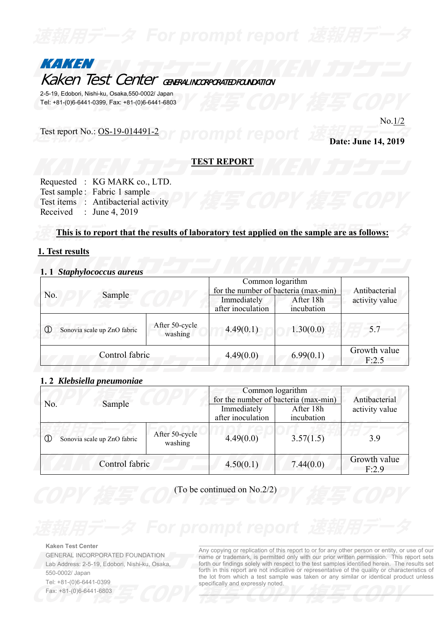

2-5-19, Edobori, Nishi-ku, Osaka,550-0002/ Japan Tel: +81-(0)6-6441-0399, Fax: +81-(0)6-6441-6803

## Test report No.: OS-19-014491-2

No.1/2

**Date: June 14, 2019** 

**TEST REPORT** 

|          | Requested : KG MARK co., LTD.       |
|----------|-------------------------------------|
|          | Test sample: Fabric 1 sample        |
|          | Test items : Antibacterial activity |
| Received | : June 4, 2019                      |

## **This is to report that the results of laboratory test applied on the sample are as follows:**

## **1. Test results**

## **1. 1** *Staphylococcus aureus*

| Sample<br>No.                                                             |  | Common logarithm<br>for the number of bacteria (max-min) | Antibacterial           |                       |
|---------------------------------------------------------------------------|--|----------------------------------------------------------|-------------------------|-----------------------|
|                                                                           |  | Immediately<br>after inoculation                         | After 18h<br>incubation | activity value        |
| After 50-cycle<br>$^\copyright$<br>Sonovia scale up ZnO fabric<br>washing |  | 4.49(0.1)                                                | 1.30(0.0)               | 5.7                   |
| Control fabric                                                            |  | 4.49(0.0)                                                | 6.99(0.1)               | Growth value<br>F:2.5 |

## **1. 2** *Klebsiella pneumoniae*

| Sample<br>No.                               |                           | Common logarithm<br>for the number of bacteria (max-min)<br>Immediately<br>After 18h<br>after inoculation<br>incubation |                       | Antibacterial<br>activity value |
|---------------------------------------------|---------------------------|-------------------------------------------------------------------------------------------------------------------------|-----------------------|---------------------------------|
| $^\circledR$<br>Sonovia scale up ZnO fabric | After 50-cycle<br>washing | 4.49(0.0)                                                                                                               | 3.57(1.5)             | 3.9                             |
| Control fabric                              | 4.50(0.1)                 | 7.44(0.0)                                                                                                               | Growth value<br>F:2.9 |                                 |

(To be continued on No.2/2)

### **Kaken Test Center**

GENERAL INCORPORATED FOUNDATION Lab Address: 2-5-19, Edobori, Nishi-ku, Osaka, 550-0002/ Japan Tel: +81-(0)6-6441-0399 Fax: +81-(0)6-6441-6803

Any copying or replication of this report to or for any other person or entity, or use of our name or trademark, is permitted only with our prior written permission. This report sets forth our findings solely with respect to the test samples identified herein. The results set forth in this report are not indicative or representative of the quality or characteristics of the lot from which a test sample was taken or any similar or identical product unless specifically and expressly noted.